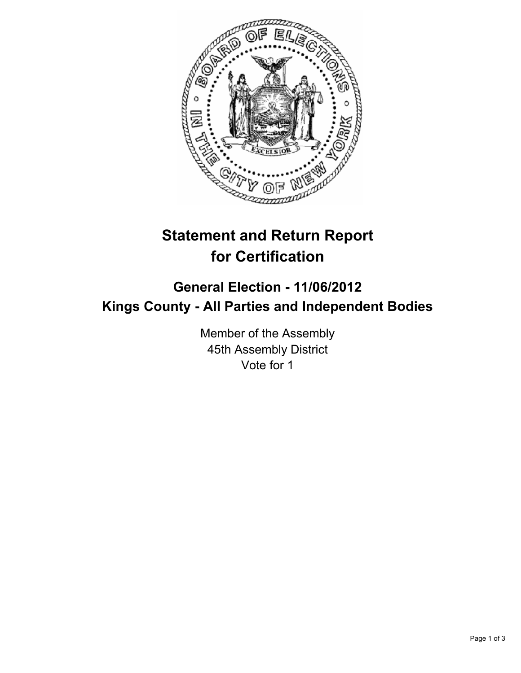

## **Statement and Return Report for Certification**

## **General Election - 11/06/2012 Kings County - All Parties and Independent Bodies**

Member of the Assembly 45th Assembly District Vote for 1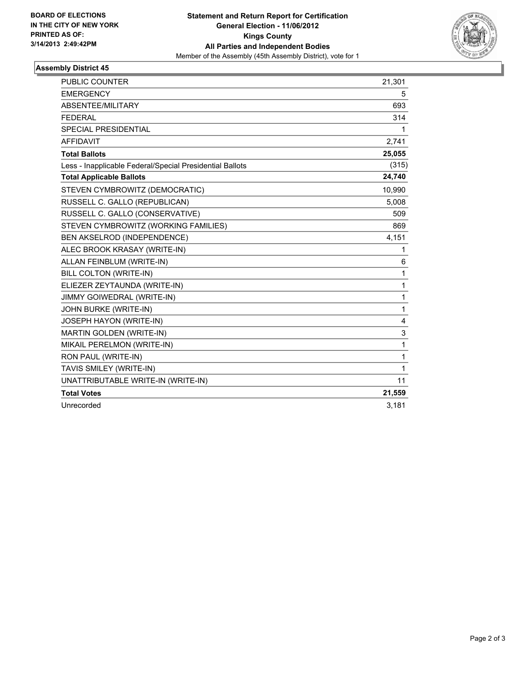

## **Assembly District 45**

| <b>PUBLIC COUNTER</b>                                    | 21,301 |
|----------------------------------------------------------|--------|
| <b>EMERGENCY</b>                                         | 5      |
| ABSENTEE/MILITARY                                        | 693    |
| <b>FEDERAL</b>                                           | 314    |
| <b>SPECIAL PRESIDENTIAL</b>                              | 1      |
| <b>AFFIDAVIT</b>                                         | 2,741  |
| <b>Total Ballots</b>                                     | 25,055 |
| Less - Inapplicable Federal/Special Presidential Ballots | (315)  |
| <b>Total Applicable Ballots</b>                          | 24,740 |
| STEVEN CYMBROWITZ (DEMOCRATIC)                           | 10,990 |
| RUSSELL C. GALLO (REPUBLICAN)                            | 5,008  |
| RUSSELL C. GALLO (CONSERVATIVE)                          | 509    |
| STEVEN CYMBROWITZ (WORKING FAMILIES)                     | 869    |
| BEN AKSELROD (INDEPENDENCE)                              | 4,151  |
| ALEC BROOK KRASAY (WRITE-IN)                             | 1      |
| ALLAN FEINBLUM (WRITE-IN)                                | 6      |
| <b>BILL COLTON (WRITE-IN)</b>                            | 1      |
| ELIEZER ZEYTAUNDA (WRITE-IN)                             | 1      |
| JIMMY GOIWEDRAL (WRITE-IN)                               | 1      |
| JOHN BURKE (WRITE-IN)                                    | 1      |
| JOSEPH HAYON (WRITE-IN)                                  | 4      |
| MARTIN GOLDEN (WRITE-IN)                                 | 3      |
| MIKAIL PERELMON (WRITE-IN)                               | 1      |
| RON PAUL (WRITE-IN)                                      | 1      |
| TAVIS SMILEY (WRITE-IN)                                  | 1      |
| UNATTRIBUTABLE WRITE-IN (WRITE-IN)                       | 11     |
| <b>Total Votes</b>                                       | 21,559 |
| Unrecorded                                               | 3,181  |